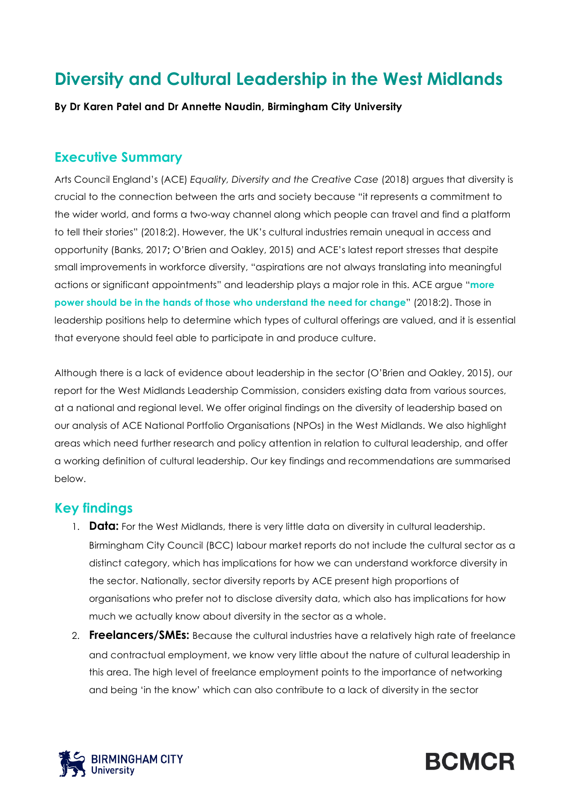## **Diversity and Cultural Leadership in the West Midlands**

**By Dr Karen Patel and Dr Annette Naudin, Birmingham City University**

## **Executive Summary**

Arts Council England's (ACE) *Equality, Diversity and the Creative Case* (2018) argues that diversity is crucial to the connection between the arts and society because "it represents a commitment to the wider world, and forms a two-way channel along which people can travel and find a platform to tell their stories" (2018:2). However, the UK's cultural industries remain unequal in access and opportunity (Banks, 2017**;** O'Brien and Oakley, 2015) and ACE's latest report stresses that despite small improvements in workforce diversity, "aspirations are not always translating into meaningful actions or significant appointments" and leadership plays a major role in this. ACE argue "**more power should be in the hands of those who understand the need for change**" (2018:2). Those in leadership positions help to determine which types of cultural offerings are valued, and it is essential that everyone should feel able to participate in and produce culture.

Although there is a lack of evidence about leadership in the sector (O'Brien and Oakley, 2015), our report for the West Midlands Leadership Commission, considers existing data from various sources, at a national and regional level. We offer original findings on the diversity of leadership based on our analysis of ACE National Portfolio Organisations (NPOs) in the West Midlands. We also highlight areas which need further research and policy attention in relation to cultural leadership, and offer a working definition of cultural leadership. Our key findings and recommendations are summarised below.

## **Key findings**

- 1. **Data:** For the West Midlands, there is very little data on diversity in cultural leadership. Birmingham City Council (BCC) labour market reports do not include the cultural sector as a distinct category, which has implications for how we can understand workforce diversity in the sector. Nationally, sector diversity reports by ACE present high proportions of organisations who prefer not to disclose diversity data, which also has implications for how much we actually know about diversity in the sector as a whole.
- 2. **Freelancers/SMEs:** Because the cultural industries have a relatively high rate of freelance and contractual employment, we know very little about the nature of cultural leadership in this area. The high level of freelance employment points to the importance of networking and being 'in the know' which can also contribute to a lack of diversity in the sector